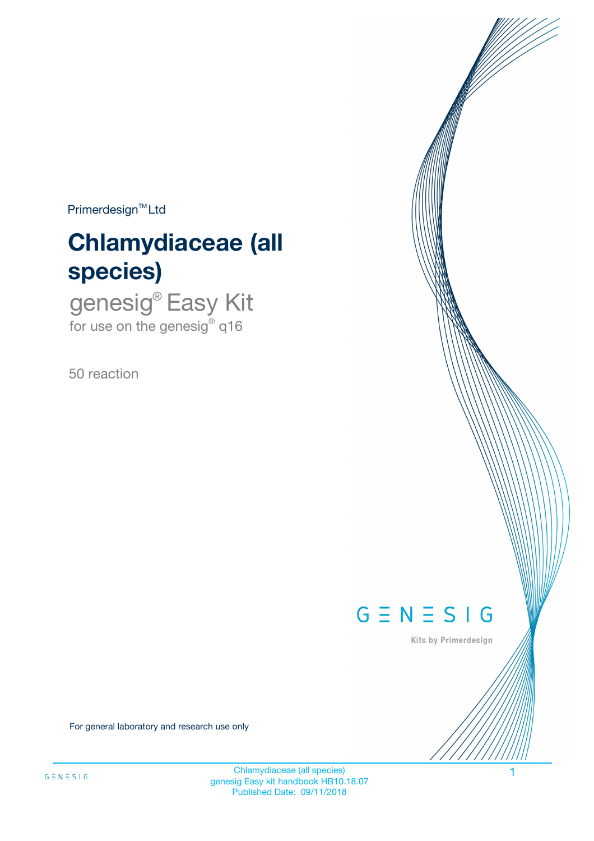$Primerdesign^{\text{TM}}Ltd$ 

# **Chlamydiaceae (all species)**

genesig® Easy Kit for use on the genesig® q16

50 reaction



Kits by Primerdesign

For general laboratory and research use only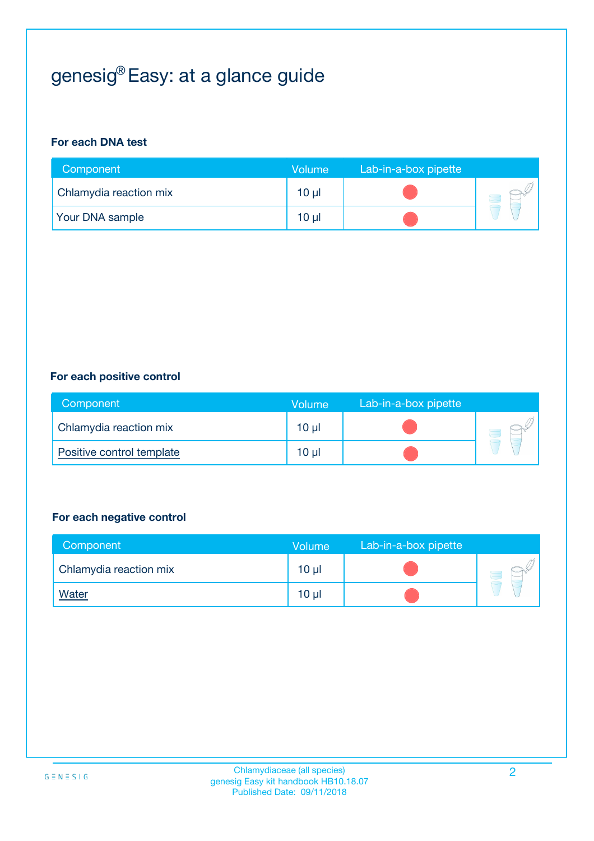# genesig® Easy: at a glance guide

#### **For each DNA test**

| Component              | <b>Volume</b> | Lab-in-a-box pipette |  |
|------------------------|---------------|----------------------|--|
| Chlamydia reaction mix | 10 µl         |                      |  |
| <b>Your DNA sample</b> | 10 µl         |                      |  |

#### **For each positive control**

| Component                 | Volume          | Lab-in-a-box pipette |  |
|---------------------------|-----------------|----------------------|--|
| Chlamydia reaction mix    | 10 <sub>µ</sub> |                      |  |
| Positive control template | 10 <sub>µ</sub> |                      |  |

#### **For each negative control**

| Component              | <b>Volume</b>   | Lab-in-a-box pipette |  |
|------------------------|-----------------|----------------------|--|
| Chlamydia reaction mix | 10 <sub>µ</sub> |                      |  |
| <u>Water</u>           | 10 <sub>µ</sub> |                      |  |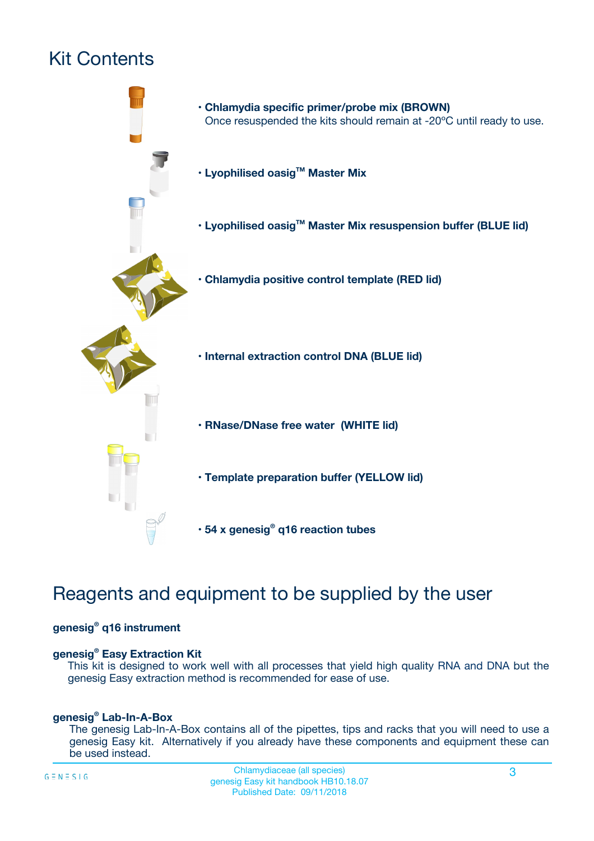# Kit Contents



## Reagents and equipment to be supplied by the user

#### **genesig® q16 instrument**

#### **genesig® Easy Extraction Kit**

This kit is designed to work well with all processes that yield high quality RNA and DNA but the genesig Easy extraction method is recommended for ease of use.

#### **genesig® Lab-In-A-Box**

The genesig Lab-In-A-Box contains all of the pipettes, tips and racks that you will need to use a genesig Easy kit. Alternatively if you already have these components and equipment these can be used instead.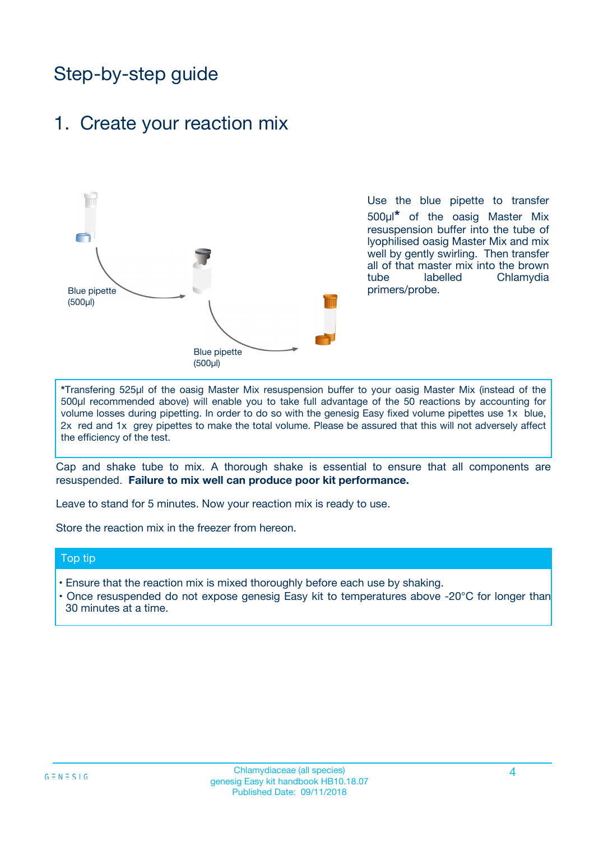## Step-by-step guide

### 1. Create your reaction mix



Use the blue pipette to transfer 500µl**\*** of the oasig Master Mix resuspension buffer into the tube of lyophilised oasig Master Mix and mix well by gently swirling. Then transfer all of that master mix into the brown tube labelled Chlamydia primers/probe.

**\***Transfering 525µl of the oasig Master Mix resuspension buffer to your oasig Master Mix (instead of the 500µl recommended above) will enable you to take full advantage of the 50 reactions by accounting for volume losses during pipetting. In order to do so with the genesig Easy fixed volume pipettes use 1x blue, 2x red and 1x grey pipettes to make the total volume. Please be assured that this will not adversely affect the efficiency of the test.

Cap and shake tube to mix. A thorough shake is essential to ensure that all components are resuspended. **Failure to mix well can produce poor kit performance.**

Leave to stand for 5 minutes. Now your reaction mix is ready to use.

Store the reaction mix in the freezer from hereon.

#### Top tip

- Ensure that the reaction mix is mixed thoroughly before each use by shaking.
- Once resuspended do not expose genesig Easy kit to temperatures above -20°C for longer than 30 minutes at a time.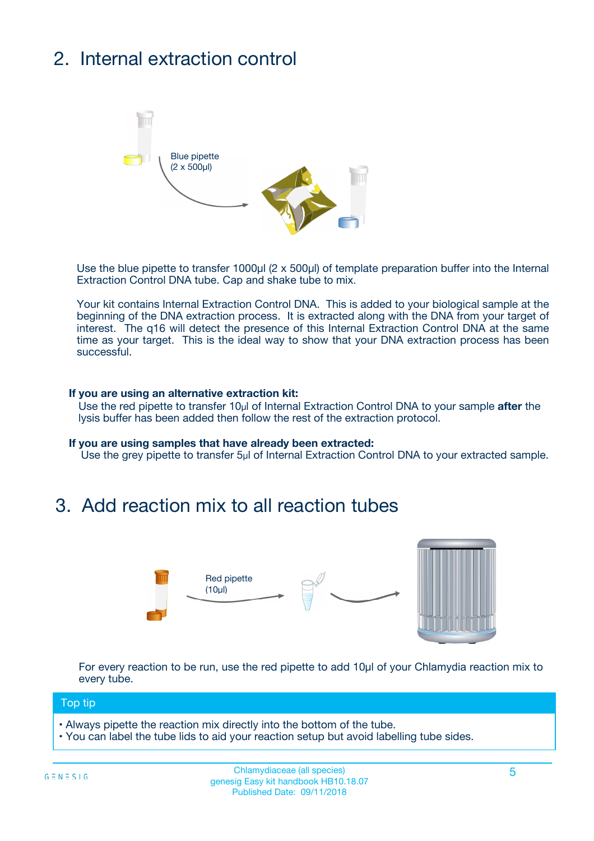# 2. Internal extraction control



Use the blue pipette to transfer 1000µl (2 x 500µl) of template preparation buffer into the Internal Extraction Control DNA tube. Cap and shake tube to mix.

Your kit contains Internal Extraction Control DNA. This is added to your biological sample at the beginning of the DNA extraction process. It is extracted along with the DNA from your target of interest. The q16 will detect the presence of this Internal Extraction Control DNA at the same time as your target. This is the ideal way to show that your DNA extraction process has been successful.

#### **If you are using an alternative extraction kit:**

Use the red pipette to transfer 10µl of Internal Extraction Control DNA to your sample **after** the lysis buffer has been added then follow the rest of the extraction protocol.

#### **If you are using samples that have already been extracted:**

Use the grey pipette to transfer 5µl of Internal Extraction Control DNA to your extracted sample.

### 3. Add reaction mix to all reaction tubes



For every reaction to be run, use the red pipette to add 10µl of your Chlamydia reaction mix to every tube.

#### Top tip

- Always pipette the reaction mix directly into the bottom of the tube.
- You can label the tube lids to aid your reaction setup but avoid labelling tube sides.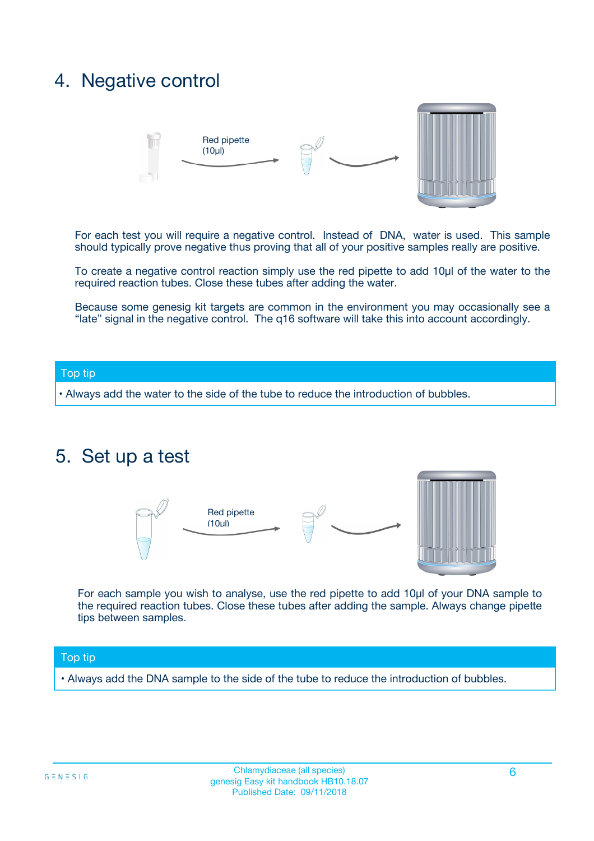### 4. Negative control



For each test you will require a negative control. Instead of DNA, water is used. This sample should typically prove negative thus proving that all of your positive samples really are positive.

To create a negative control reaction simply use the red pipette to add 10µl of the water to the required reaction tubes. Close these tubes after adding the water.

Because some genesig kit targets are common in the environment you may occasionally see a "late" signal in the negative control. The q16 software will take this into account accordingly.

#### Top tip

**•** Always add the water to the side of the tube to reduce the introduction of bubbles.

### 5. Set up a test



For each sample you wish to analyse, use the red pipette to add 10µl of your DNA sample to the required reaction tubes. Close these tubes after adding the sample. Always change pipette tips between samples.

#### Top tip

**•** Always add the DNA sample to the side of the tube to reduce the introduction of bubbles.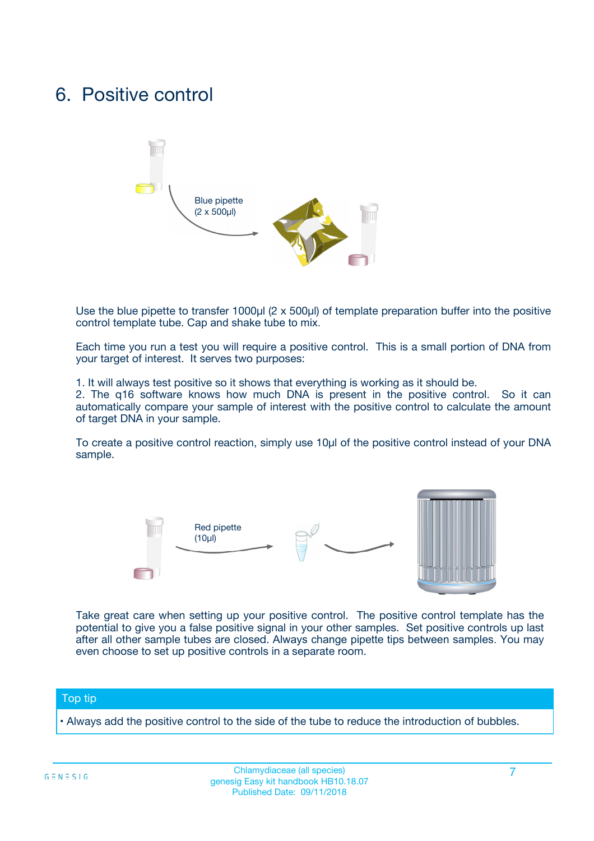### 6. Positive control



Use the blue pipette to transfer 1000µl (2 x 500µl) of template preparation buffer into the positive control template tube. Cap and shake tube to mix.

Each time you run a test you will require a positive control. This is a small portion of DNA from your target of interest. It serves two purposes:

1. It will always test positive so it shows that everything is working as it should be.

2. The q16 software knows how much DNA is present in the positive control. So it can automatically compare your sample of interest with the positive control to calculate the amount of target DNA in your sample.

To create a positive control reaction, simply use 10µl of the positive control instead of your DNA sample.



Take great care when setting up your positive control. The positive control template has the potential to give you a false positive signal in your other samples. Set positive controls up last after all other sample tubes are closed. Always change pipette tips between samples. You may even choose to set up positive controls in a separate room.

#### Top tip

**•** Always add the positive control to the side of the tube to reduce the introduction of bubbles.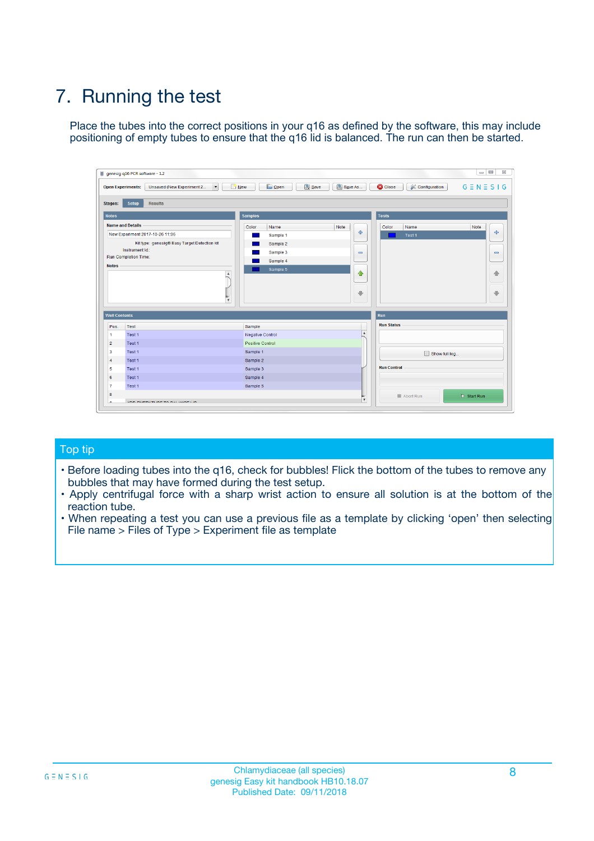# 7. Running the test

Place the tubes into the correct positions in your q16 as defined by the software, this may include positioning of empty tubes to ensure that the q16 lid is balanced. The run can then be started.

| genesig q16 PCR software - 1.2                                               |                                     | $\Box$                                                                                  |
|------------------------------------------------------------------------------|-------------------------------------|-----------------------------------------------------------------------------------------|
| Unsaved (New Experiment 2<br>$\vert \cdot \vert$<br><b>Open Experiments:</b> | <b>D</b> Open<br>Save<br>$\Box$ New | Save As<br><b>C</b> Close<br>$G \equiv N \equiv S \mid G$<br><b>&amp; Configuration</b> |
| Setup<br><b>Results</b><br><b>Stages:</b>                                    |                                     |                                                                                         |
| <b>Notes</b>                                                                 | Samples                             | <b>Tests</b>                                                                            |
| <b>Name and Details</b>                                                      | Color<br>Name                       | Note<br>Color<br>Note<br>Name                                                           |
| New Experiment 2017-10-26 11:06                                              | Sample 1                            | 条<br>علي<br>Test 1                                                                      |
| Kit type: genesig® Easy Target Detection kit                                 | Sample 2                            |                                                                                         |
| Instrument Id.:                                                              | Sample 3                            | $\qquad \qquad \blacksquare$<br>$\qquad \qquad \blacksquare$                            |
| Run Completion Time:                                                         | Sample 4                            |                                                                                         |
| <b>Notes</b>                                                                 | Sample 5<br>A<br>v                  | $\triangle$<br>4<br>$\oplus$<br>₩                                                       |
| <b>Well Contents</b>                                                         |                                     | <b>Run</b>                                                                              |
| Pos.<br>Test                                                                 | Sample                              | <b>Run Status</b>                                                                       |
| Test 1<br>-1                                                                 | <b>Negative Control</b>             | $\blacktriangle$                                                                        |
| $\overline{2}$<br>Test 1                                                     | <b>Positive Control</b>             |                                                                                         |
| $\overline{\mathbf{3}}$<br>Test 1                                            | Sample 1                            | Show full log                                                                           |
| Test 1<br>$\overline{4}$                                                     | Sample 2                            |                                                                                         |
| 5<br>Test 1                                                                  | Sample 3                            | <b>Run Control</b>                                                                      |
| 6<br>Test 1                                                                  | Sample 4                            |                                                                                         |
| $\overline{7}$<br>Test 1                                                     | Sample 5                            |                                                                                         |
| 8                                                                            |                                     | $\triangleright$ Start Run<br>Abort Run                                                 |
| <b>JOD FURTY TUDE TO BUILDED IN</b>                                          |                                     | $\overline{\mathbf{v}}$                                                                 |

#### Top tip

- Before loading tubes into the q16, check for bubbles! Flick the bottom of the tubes to remove any bubbles that may have formed during the test setup.
- Apply centrifugal force with a sharp wrist action to ensure all solution is at the bottom of the reaction tube.
- When repeating a test you can use a previous file as a template by clicking 'open' then selecting File name > Files of Type > Experiment file as template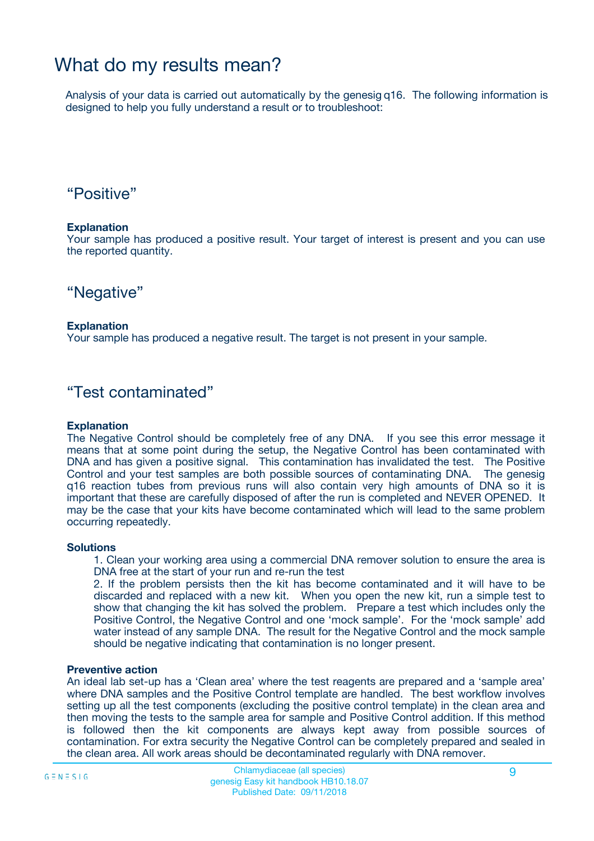## What do my results mean?

Analysis of your data is carried out automatically by the genesig q16. The following information is designed to help you fully understand a result or to troubleshoot:

### "Positive"

#### **Explanation**

Your sample has produced a positive result. Your target of interest is present and you can use the reported quantity.

"Negative"

#### **Explanation**

Your sample has produced a negative result. The target is not present in your sample.

### "Test contaminated"

#### **Explanation**

The Negative Control should be completely free of any DNA. If you see this error message it means that at some point during the setup, the Negative Control has been contaminated with DNA and has given a positive signal. This contamination has invalidated the test. The Positive Control and your test samples are both possible sources of contaminating DNA. The genesig q16 reaction tubes from previous runs will also contain very high amounts of DNA so it is important that these are carefully disposed of after the run is completed and NEVER OPENED. It may be the case that your kits have become contaminated which will lead to the same problem occurring repeatedly.

#### **Solutions**

1. Clean your working area using a commercial DNA remover solution to ensure the area is DNA free at the start of your run and re-run the test

2. If the problem persists then the kit has become contaminated and it will have to be discarded and replaced with a new kit. When you open the new kit, run a simple test to show that changing the kit has solved the problem. Prepare a test which includes only the Positive Control, the Negative Control and one 'mock sample'. For the 'mock sample' add water instead of any sample DNA. The result for the Negative Control and the mock sample should be negative indicating that contamination is no longer present.

#### **Preventive action**

An ideal lab set-up has a 'Clean area' where the test reagents are prepared and a 'sample area' where DNA samples and the Positive Control template are handled. The best workflow involves setting up all the test components (excluding the positive control template) in the clean area and then moving the tests to the sample area for sample and Positive Control addition. If this method is followed then the kit components are always kept away from possible sources of contamination. For extra security the Negative Control can be completely prepared and sealed in the clean area. All work areas should be decontaminated regularly with DNA remover.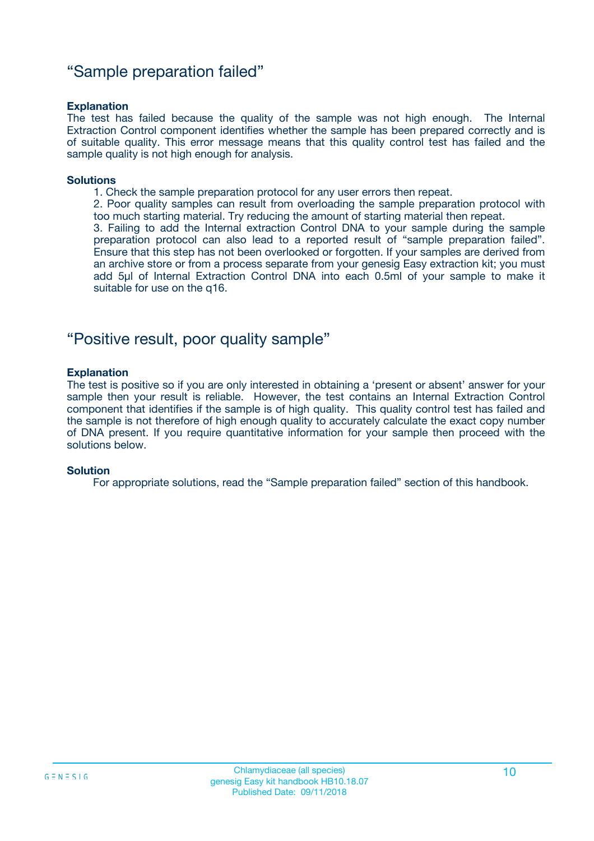### "Sample preparation failed"

#### **Explanation**

The test has failed because the quality of the sample was not high enough. The Internal Extraction Control component identifies whether the sample has been prepared correctly and is of suitable quality. This error message means that this quality control test has failed and the sample quality is not high enough for analysis.

#### **Solutions**

1. Check the sample preparation protocol for any user errors then repeat.

2. Poor quality samples can result from overloading the sample preparation protocol with too much starting material. Try reducing the amount of starting material then repeat.

3. Failing to add the Internal extraction Control DNA to your sample during the sample preparation protocol can also lead to a reported result of "sample preparation failed". Ensure that this step has not been overlooked or forgotten. If your samples are derived from an archive store or from a process separate from your genesig Easy extraction kit; you must add 5µl of Internal Extraction Control DNA into each 0.5ml of your sample to make it suitable for use on the q16.

### "Positive result, poor quality sample"

#### **Explanation**

The test is positive so if you are only interested in obtaining a 'present or absent' answer for your sample then your result is reliable. However, the test contains an Internal Extraction Control component that identifies if the sample is of high quality. This quality control test has failed and the sample is not therefore of high enough quality to accurately calculate the exact copy number of DNA present. If you require quantitative information for your sample then proceed with the solutions below.

#### **Solution**

For appropriate solutions, read the "Sample preparation failed" section of this handbook.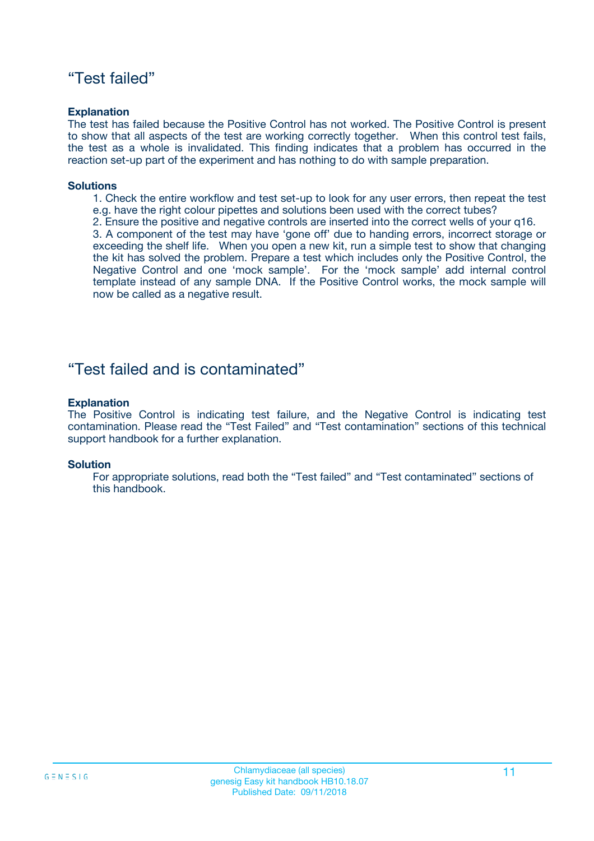### "Test failed"

#### **Explanation**

The test has failed because the Positive Control has not worked. The Positive Control is present to show that all aspects of the test are working correctly together. When this control test fails, the test as a whole is invalidated. This finding indicates that a problem has occurred in the reaction set-up part of the experiment and has nothing to do with sample preparation.

#### **Solutions**

- 1. Check the entire workflow and test set-up to look for any user errors, then repeat the test e.g. have the right colour pipettes and solutions been used with the correct tubes?
- 2. Ensure the positive and negative controls are inserted into the correct wells of your q16.

3. A component of the test may have 'gone off' due to handing errors, incorrect storage or exceeding the shelf life. When you open a new kit, run a simple test to show that changing the kit has solved the problem. Prepare a test which includes only the Positive Control, the Negative Control and one 'mock sample'. For the 'mock sample' add internal control template instead of any sample DNA. If the Positive Control works, the mock sample will now be called as a negative result.

### "Test failed and is contaminated"

#### **Explanation**

The Positive Control is indicating test failure, and the Negative Control is indicating test contamination. Please read the "Test Failed" and "Test contamination" sections of this technical support handbook for a further explanation.

#### **Solution**

For appropriate solutions, read both the "Test failed" and "Test contaminated" sections of this handbook.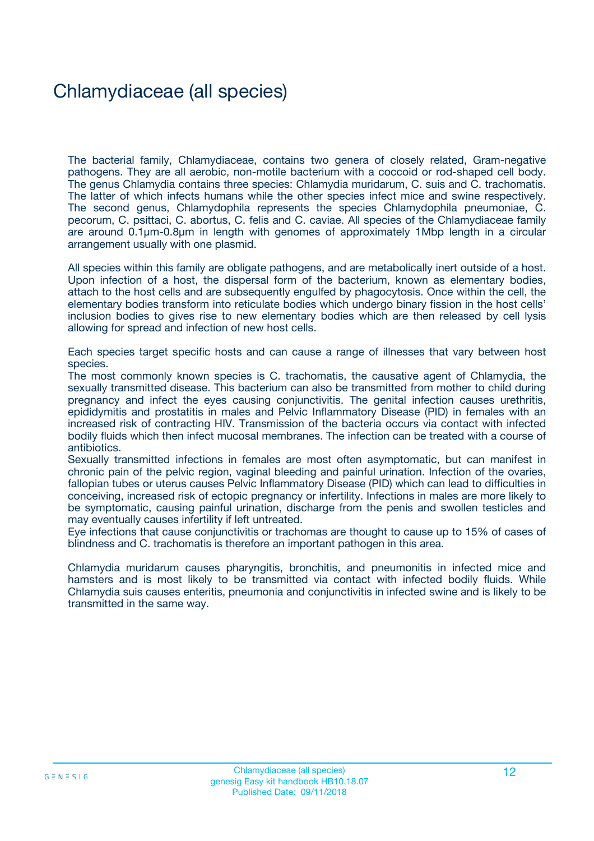## Chlamydiaceae (all species)

The bacterial family, Chlamydiaceae, contains two genera of closely related, Gram-negative pathogens. They are all aerobic, non-motile bacterium with a coccoid or rod-shaped cell body. The genus Chlamydia contains three species: Chlamydia muridarum, C. suis and C. trachomatis. The latter of which infects humans while the other species infect mice and swine respectively. The second genus, Chlamydophila represents the species Chlamydophila pneumoniae, C. pecorum, C. psittaci, C. abortus, C. felis and C. caviae. All species of the Chlamydiaceae family are around 0.1µm-0.8µm in length with genomes of approximately 1Mbp length in a circular arrangement usually with one plasmid.

All species within this family are obligate pathogens, and are metabolically inert outside of a host. Upon infection of a host, the dispersal form of the bacterium, known as elementary bodies, attach to the host cells and are subsequently engulfed by phagocytosis. Once within the cell, the elementary bodies transform into reticulate bodies which undergo binary fission in the host cells' inclusion bodies to gives rise to new elementary bodies which are then released by cell lysis allowing for spread and infection of new host cells.

Each species target specific hosts and can cause a range of illnesses that vary between host species.

The most commonly known species is C. trachomatis, the causative agent of Chlamydia, the sexually transmitted disease. This bacterium can also be transmitted from mother to child during pregnancy and infect the eyes causing conjunctivitis. The genital infection causes urethritis, epididymitis and prostatitis in males and Pelvic Inflammatory Disease (PID) in females with an increased risk of contracting HIV. Transmission of the bacteria occurs via contact with infected bodily fluids which then infect mucosal membranes. The infection can be treated with a course of antibiotics.

Sexually transmitted infections in females are most often asymptomatic, but can manifest in chronic pain of the pelvic region, vaginal bleeding and painful urination. Infection of the ovaries, fallopian tubes or uterus causes Pelvic Inflammatory Disease (PID) which can lead to difficulties in conceiving, increased risk of ectopic pregnancy or infertility. Infections in males are more likely to be symptomatic, causing painful urination, discharge from the penis and swollen testicles and may eventually causes infertility if left untreated.

Eye infections that cause conjunctivitis or trachomas are thought to cause up to 15% of cases of blindness and C. trachomatis is therefore an important pathogen in this area.

Chlamydia muridarum causes pharyngitis, bronchitis, and pneumonitis in infected mice and hamsters and is most likely to be transmitted via contact with infected bodily fluids. While Chlamydia suis causes enteritis, pneumonia and conjunctivitis in infected swine and is likely to be transmitted in the same way.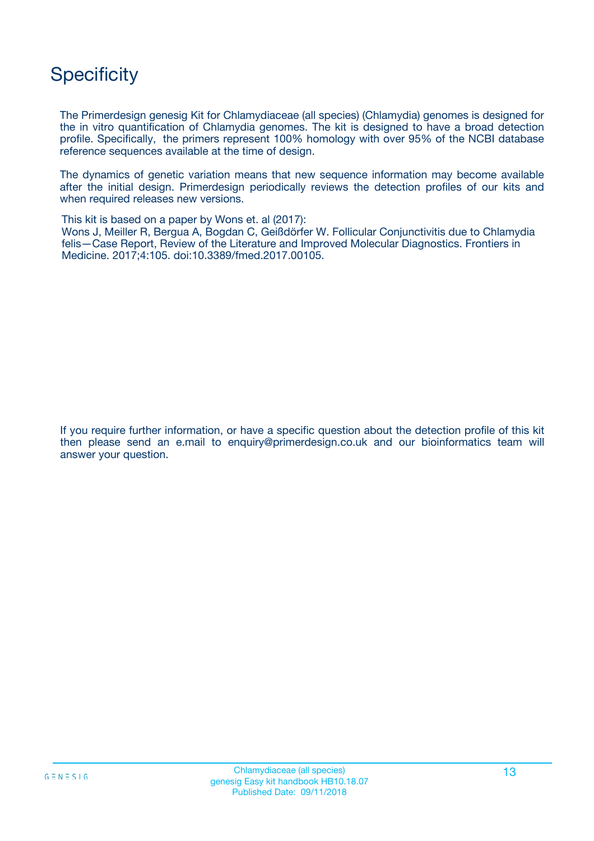## **Specificity**

The Primerdesign genesig Kit for Chlamydiaceae (all species) (Chlamydia) genomes is designed for the in vitro quantification of Chlamydia genomes. The kit is designed to have a broad detection profile. Specifically, the primers represent 100% homology with over 95% of the NCBI database reference sequences available at the time of design.

The dynamics of genetic variation means that new sequence information may become available after the initial design. Primerdesign periodically reviews the detection profiles of our kits and when required releases new versions.

This kit is based on a paper by Wons et. al (2017):

Wons J, Meiller R, Bergua A, Bogdan C, Geißdörfer W. Follicular Conjunctivitis due to Chlamydia felis—Case Report, Review of the Literature and Improved Molecular Diagnostics. Frontiers in Medicine. 2017;4:105. doi:10.3389/fmed.2017.00105.

If you require further information, or have a specific question about the detection profile of this kit then please send an e.mail to enquiry@primerdesign.co.uk and our bioinformatics team will answer your question.